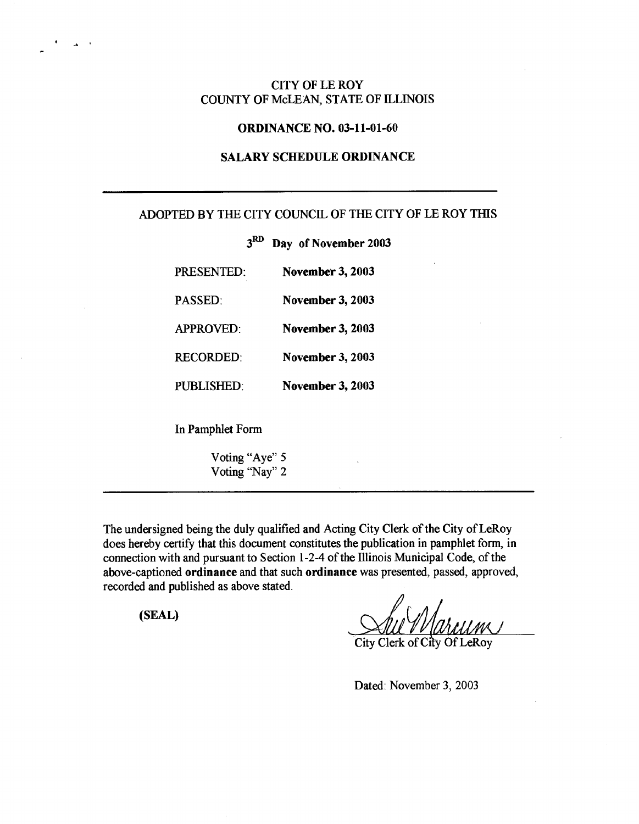# CITY OF LE ROY COUNTY OF McLEAN, STATE OF ILLINOIS

## ORDINANCE NO. 03-11-01-60

# SALARY SCHEDULE ORDINANCE

# ADOPTED BY THE CITY COUNCIL OF THE CITY OF LE ROY THIS

3RD Day of November 2003

| <b>PRESENTED:</b> | <b>November 3, 2003</b> |
|-------------------|-------------------------|
| <b>PASSED</b>     | <b>November 3, 2003</b> |
| <b>APPROVED:</b>  | <b>November 3, 2003</b> |
| <b>RECORDED:</b>  | <b>November 3, 2003</b> |
| PUBLISHED         | <b>November 3, 2003</b> |
| In Pamphlet Form  |                         |

Voting "Aye" S Voting "Nay" 2

The undersigned being the duly qualified and Acting City Clerk of the City of LeRoy does hereby certify that this document constitutes the publication in pamphlet form, in connection with and pursuant to Section 1-2-4 of the Illinois Municipal Code, of the above-captioned ordinance and that such ordinance was presented, passed, approved, recorded and published as above stated.

(SEAL)

° a

**Sull / / (by** 14111111 r City Clerk of City Of LeRoy

Dated: November 3, 2003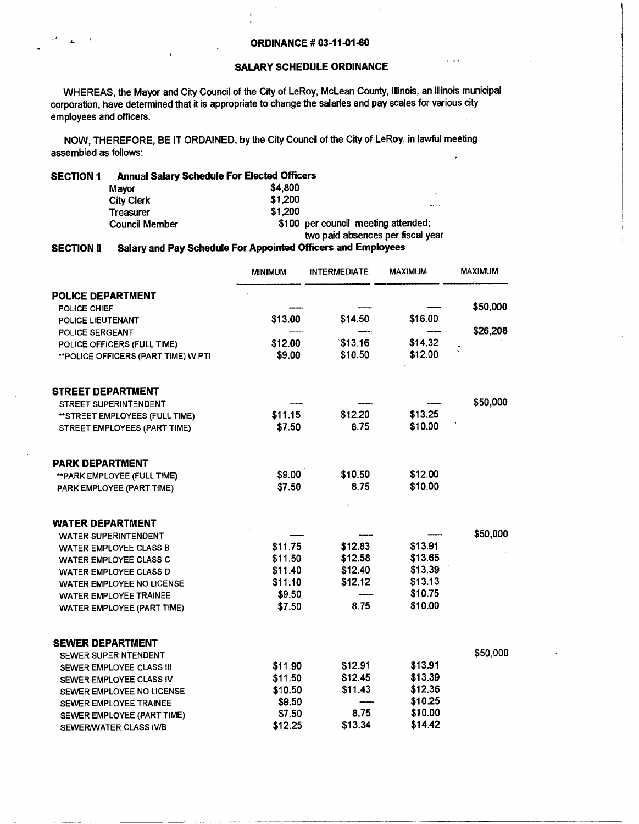## **SALARY SCHEDULE ORDINANCE**

WHEREAS, the Mayor and City Council of the City of LeRoy, McLean County, Illinois, an Illinois municipal corporation, have determined that it is appropriate to change the salaries and pay scales for various city employees and officers.

NOW, THEREFORE, BE IT ORDAINED, by the City Council of the City of LeRoy, in lawful meeting assembled as follows:

 $\frac{1}{k}$  .

### **SECTION 1 Annual Salary Schedule For Elected Officers**

| Mavor                 | \$4,800                             |
|-----------------------|-------------------------------------|
| City Clerk            | \$1,200                             |
| <b>Treasurer</b>      | \$1.200                             |
| <b>Council Member</b> | \$100 per council meeting attended; |
|                       | two paid absences per fiscal year   |

#### **SECTION** 11 **Salary and Pay Schedule For Appointed Officers and Employees**

|                                      | <b>MINIMUM</b> | <b>INTERMEDIATE</b> | MAXIMUM | <b>MAXIMUM</b> |
|--------------------------------------|----------------|---------------------|---------|----------------|
| <b>POLICE DEPARTMENT</b>             |                |                     |         |                |
| POLICE CHIEF                         |                |                     |         | \$50,000       |
| POLICE LIEUTENANT                    | \$13.00        | \$14.50             | \$16.00 |                |
| POLICE SERGEANT                      |                |                     |         | \$26,208       |
| POLICE OFFICERS (FULL TIME)          | \$12.00        | \$13.16             | \$14.32 |                |
| ** POLICE OFFICERS (PART TIME) W PTI | \$9.00         | \$10.50             | \$12.00 |                |
| <b>STREET DEPARTMENT</b>             |                |                     |         |                |
| STREET SUPERINTENDENT                |                |                     |         | \$50,000       |
| **STREET EMPLOYEES (FULL TIME)       | \$11.15        | \$12.20             | \$13.25 |                |
| STREET EMPLOYEES (PART TIME)         | \$7.50         | 8.75                | \$10.00 |                |
| <b>PARK DEPARTMENT</b>               |                |                     |         |                |
| ** PARK EMPLOYEE (FULL TIME)         | \$9.00         | \$10.50             | \$12.00 |                |
| PARK EMPLOYEE (PART TIME)            | \$7.50         | 8.75                | \$10.00 |                |
| <b>WATER DEPARTMENT</b>              |                |                     |         |                |
| <b>WATER SUPERINTENDENT</b>          |                |                     |         | \$50,000       |
| <b>WATER EMPLOYEE CLASS B</b>        | \$11.75        | \$12.83             | \$13.91 |                |
| <b>WATER EMPLOYEE CLASS C</b>        | \$11.50        | \$12.58             | \$13.65 |                |
| <b>WATER EMPLOYEE CLASS D</b>        | \$11.40        | \$12.40             | \$13.39 |                |
| <b>WATER EMPLOYEE NO LICENSE</b>     | \$11.10        | \$12.12             | \$13.13 |                |
| <b>WATER EMPLOYEE TRAINEE</b>        | \$9.50         |                     | \$10.75 |                |
| WATER EMPLOYEE (PART TIME)           | \$7.50         | 8.75                | \$10.00 |                |
| <b>SEWER DEPARTMENT</b>              |                |                     |         |                |
| SEWER SUPERINTENDENT                 |                |                     |         | \$50,000       |
| SEWER EMPLOYEE CLASS III             | \$11.90        | \$12.91             | \$13.91 |                |
| SEWER EMPLOYEE CLASS IV              | \$11.50        | \$12.45             | \$13.39 |                |
| SEWER EMPLOYEE NO LICENSE            | \$10.50        | \$11.43             | \$12.36 |                |
| SEWER EMPLOYEE TRAINEE               | \$9.50         |                     | \$10.25 |                |
| SEWER EMPLOYEE (PART TIME)           | \$7.50         | 8.75                | \$10.00 |                |
| SEWER/WATER CLASS IV/B               | \$12.25        | \$13.34             | \$14.42 |                |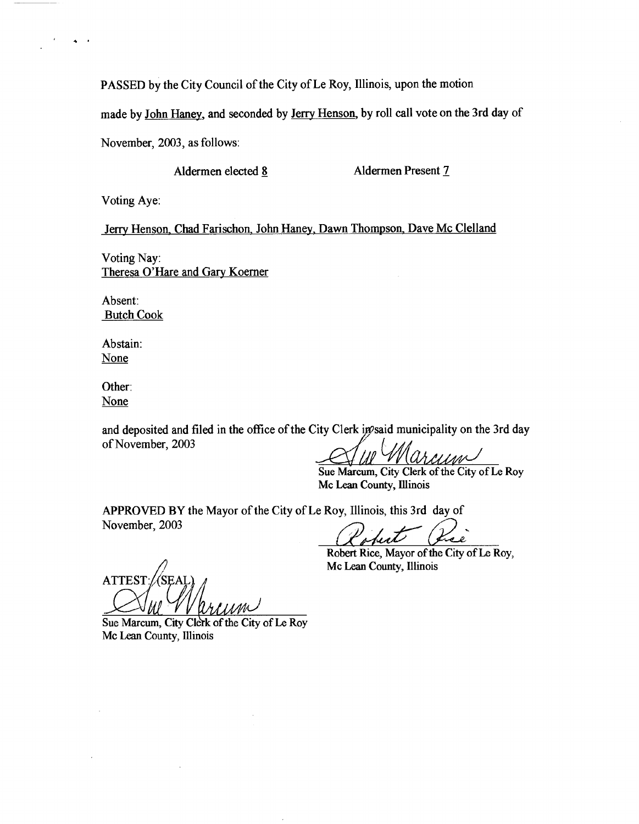PASSED by the City Council of the City of Le Roy, Illinois, upon the motion

made by John Haney, and seconded by Jerry Henson, by roll call vote on the 3rd day of

November, 2003, as follows:

Aldermen elected 8 Aldermen Present 7

Voting Aye:

.

Jerry Henson, Chad Farischon, John Haney, Dawn Thompson, Dave Mc Clelland

Voting Nay: Theresa O'Hare and Gary Koerner

Absent: Butch Cook

Abstain: None

Other: None

and deposited and filed in the office of the City Clerk in psaid municipality on the 3rd day of November, 2003

rcum

**Sue Marcum,** City Clerk of the City of Le Roy Mc Lean County, Illinois

APPROVED BY the Mayor of the City of Le Roy, Illinois, this 3rd day of November, 2003

Robert Rice, Mayor of the City of Le Roy, Mc Lean County, Illinois

**ATTEST** IIMR

Sue Marcum, City Clerk of the City of Le Roy Mc Lean County, Minois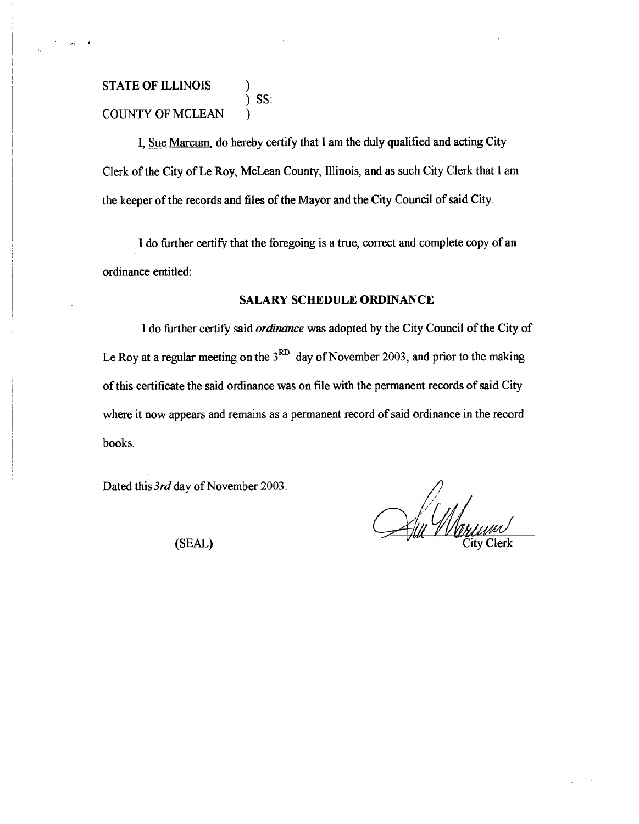# **STATE OF ILLINOIS )** SS: COUNTY OF MCLEAN

I, Sue Marcum, do hereby certify that I am the duly qualified and acting City Clerk of the City of Le Roy, McLean County, Illinois, and as such City Clerk that I am the keeper of the records and files of the Mayor and the City Council of said City.

I do further certify that the foregoing is a true, correct and complete copy of an ordinance entitled:

## **SALARY SCHEDULE ORDINANCE**

I do further certify said *ordinance* was adopted by the City Council of the City of Le Roy at a regular meeting on the  $3<sup>RD</sup>$  day of November 2003, and prior to the making of this certificate the said ordinance was on file with the permanent records of said City where it now appears and remains as a permanent record of said ordinance in the record books.

Dated this *3rd* day of November 2003.

 $\mathcal{A}$